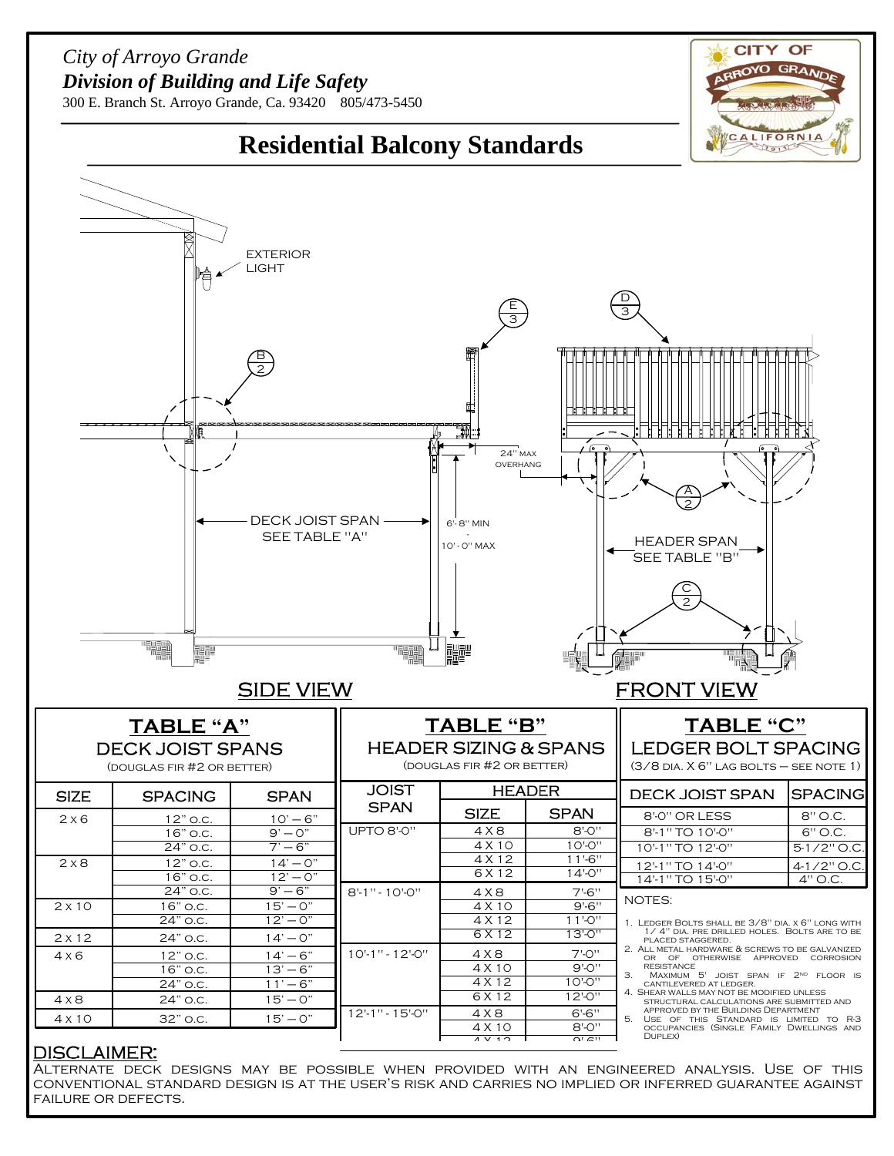## *City of Arroyo Grande Division of Building and Life Safety*



300 E. Branch St. Arroyo Grande, Ca. 93420 805/473-5450



## **DISCLAIMER:**

Alternate deck designs may be possible when provided with an engineered analysis. Use of this conventional standard design is at the user's risk and carries no implied or inferred guarantee against failure or defects.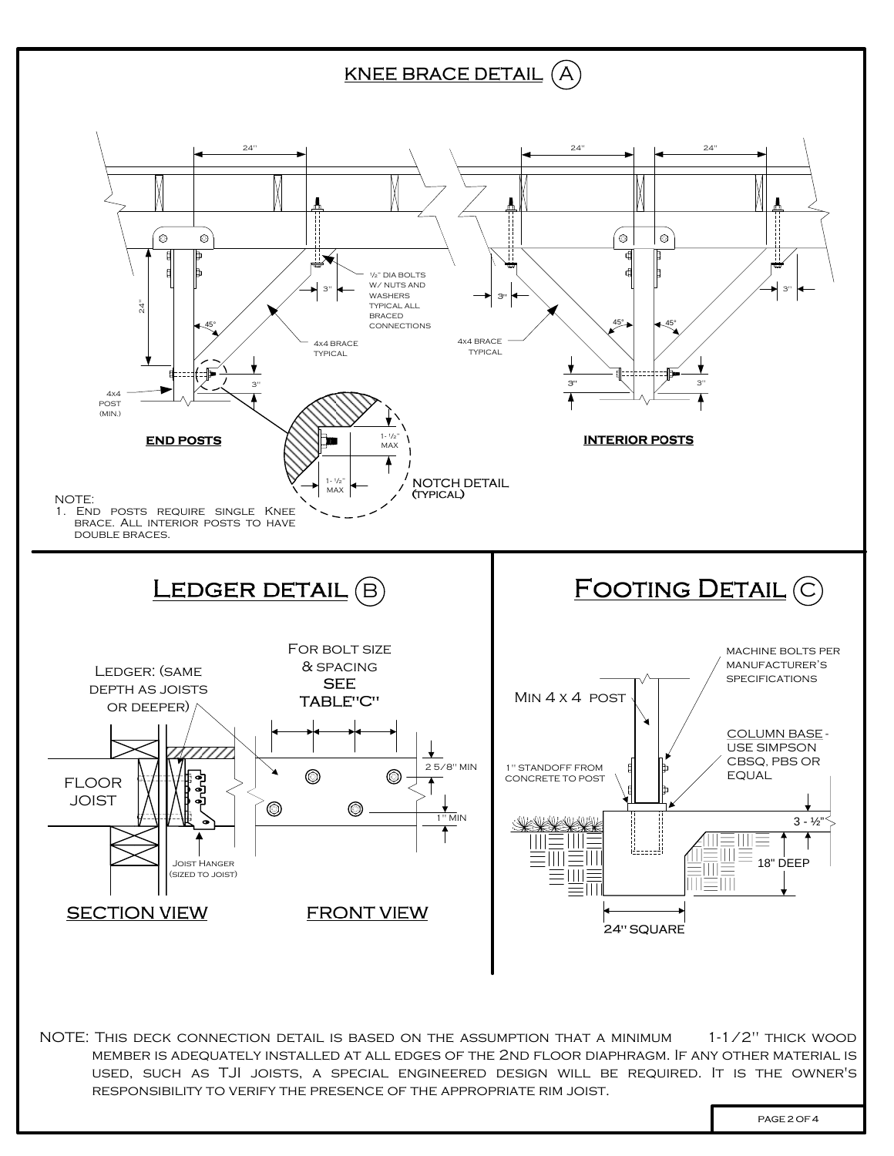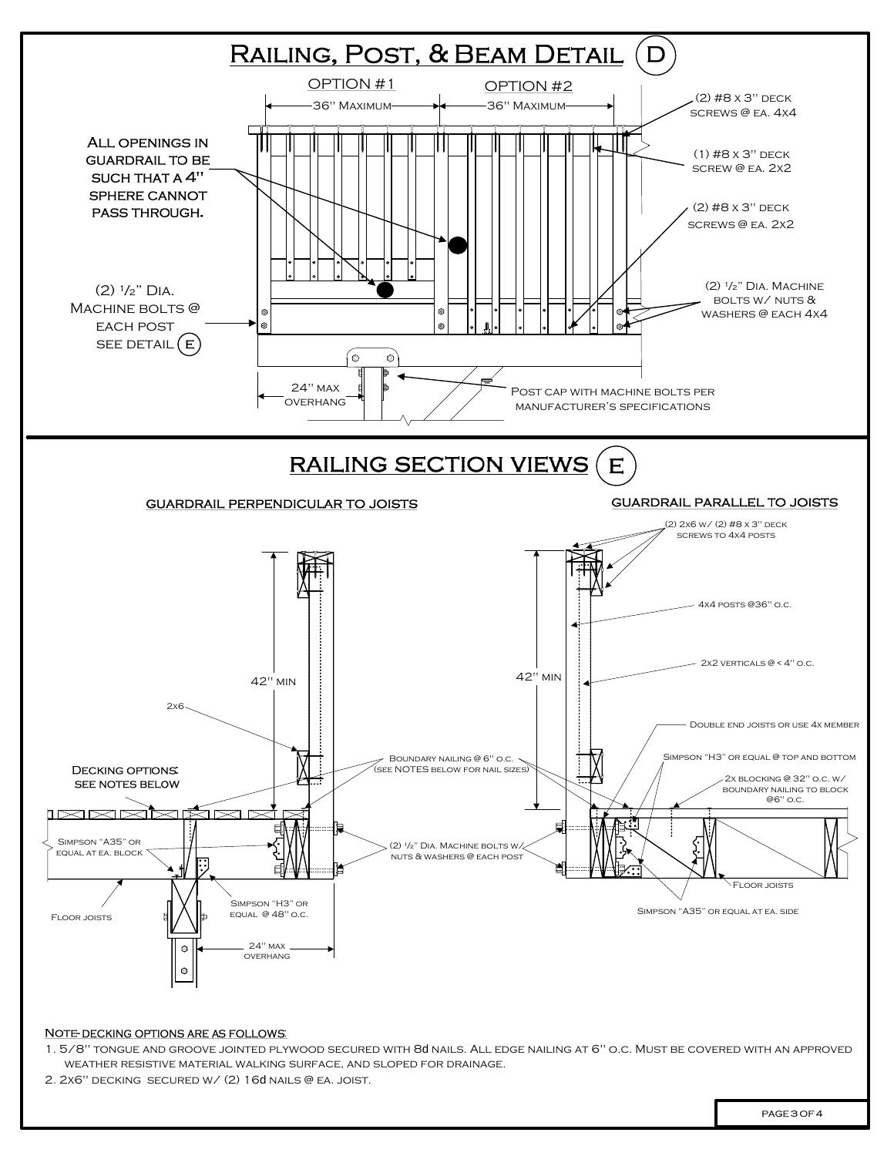